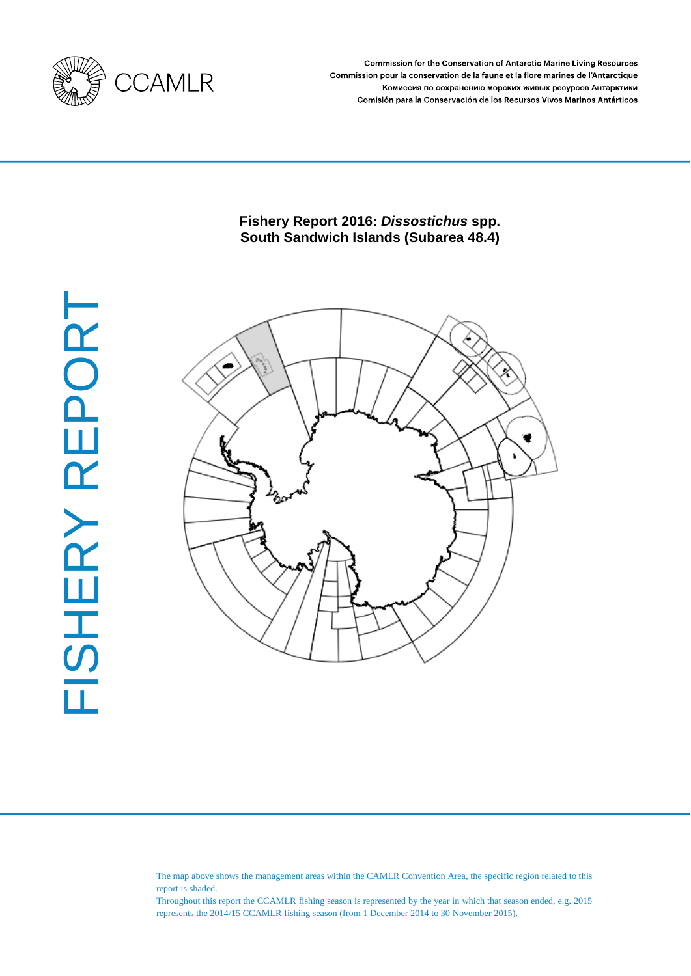

Commission for the Conservation of Antarctic Marine Living Resources Commission pour la conservation de la faune et la flore marines de l'Antarctique Комиссия по сохранению морских живых ресурсов Антарктики Comisión para la Conservación de los Recursos Vivos Marinos Antárticos

# **Fishery Report 2016:** *Dissostichus* **spp. South Sandwich Islands (Subarea 48.4)**



The map above shows the management areas within the CAMLR Convention Area, the specific region related to this report is shaded.

Throughout this report the CCAMLR fishing season is represented by the year in which that season ended, e.g. 2015 represents the 2014/15 CCAMLR fishing season (from 1 December 2014 to 30 November 2015).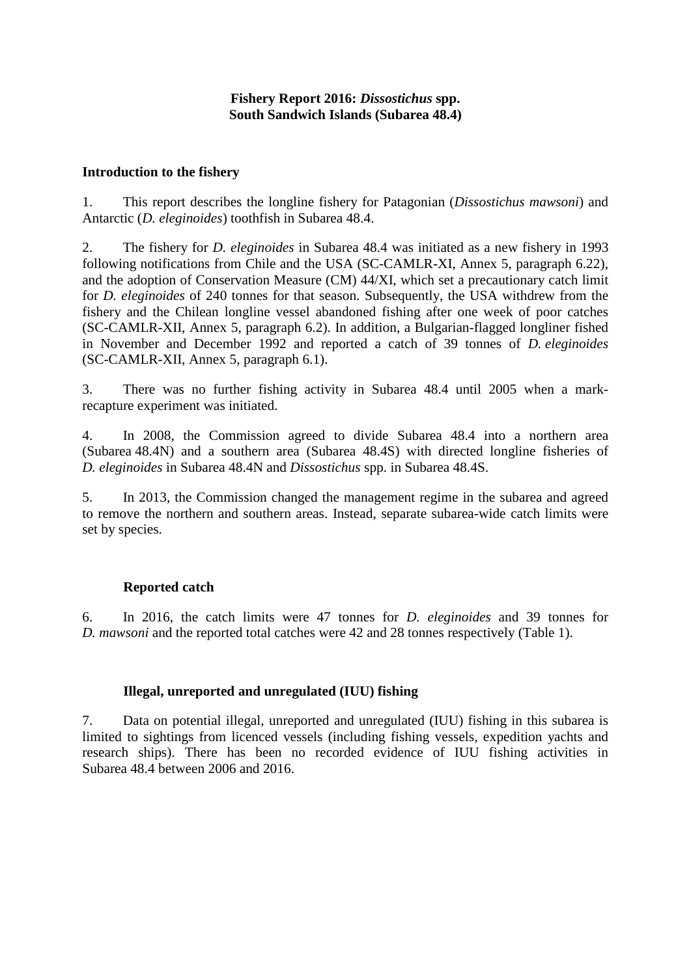## **Fishery Report 2016:** *Dissostichus* **spp. South Sandwich Islands (Subarea 48.4)**

## **Introduction to the fishery**

1. This report describes the longline fishery for Patagonian (*Dissostichus mawsoni*) and Antarctic (*D. eleginoides*) toothfish in Subarea 48.4.

2. The fishery for *D. eleginoides* in Subarea 48.4 was initiated as a new fishery in 1993 following notifications from Chile and the USA (SC-CAMLR-XI, Annex 5, paragraph 6.22), and the adoption of Conservation Measure (CM) 44/XI, which set a precautionary catch limit for *D. eleginoides* of 240 tonnes for that season. Subsequently, the USA withdrew from the fishery and the Chilean longline vessel abandoned fishing after one week of poor catches (SC-CAMLR-XII, Annex 5, paragraph 6.2). In addition, a Bulgarian-flagged longliner fished in November and December 1992 and reported a catch of 39 tonnes of *D. eleginoides* (SC-CAMLR-XII, Annex 5, paragraph 6.1).

3. There was no further fishing activity in Subarea 48.4 until 2005 when a markrecapture experiment was initiated.

4. In 2008, the Commission agreed to divide Subarea 48.4 into a northern area (Subarea 48.4N) and a southern area (Subarea 48.4S) with directed longline fisheries of *D. eleginoides* in Subarea 48.4N and *Dissostichus* spp. in Subarea 48.4S.

5. In 2013, the Commission changed the management regime in the subarea and agreed to remove the northern and southern areas. Instead, separate subarea-wide catch limits were set by species.

# **Reported catch**

6. In 2016, the catch limits were 47 tonnes for *D. eleginoides* and 39 tonnes for *D. mawsoni* and the reported total catches were 42 and 28 tonnes respectively (Table 1).

### **Illegal, unreported and unregulated (IUU) fishing**

7. Data on potential illegal, unreported and unregulated (IUU) fishing in this subarea is limited to sightings from licenced vessels (including fishing vessels, expedition yachts and research ships). There has been no recorded evidence of IUU fishing activities in Subarea 48.4 between 2006 and 2016.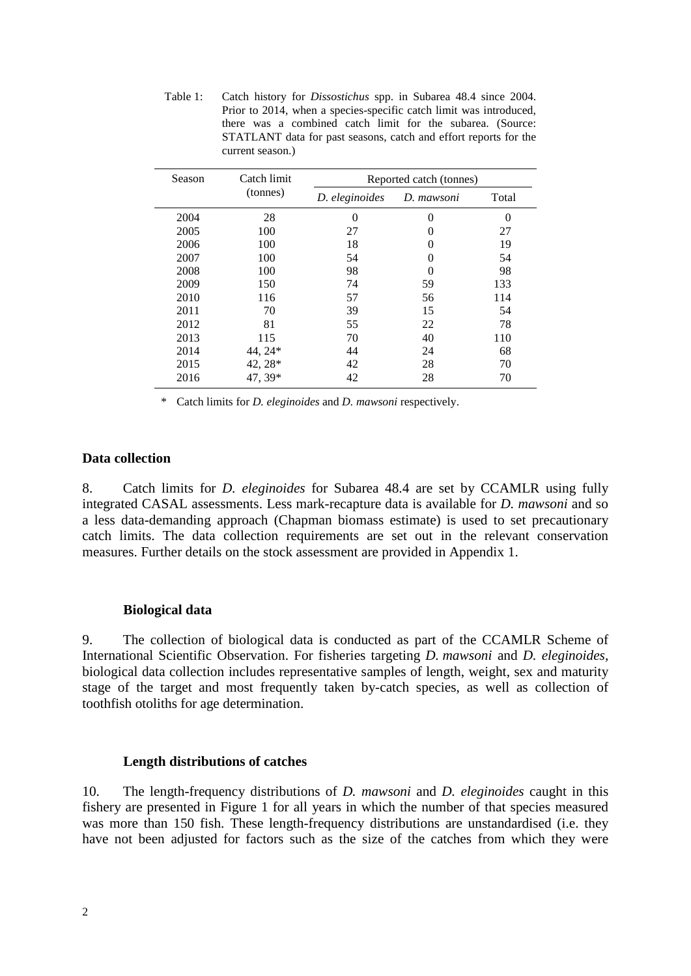Table 1: Catch history for *Dissostichus* spp. in Subarea 48.4 since 2004. Prior to 2014, when a species-specific catch limit was introduced, there was a combined catch limit for the subarea. (Source: STATLANT data for past seasons, catch and effort reports for the current season.)

| Season | Catch limit | Reported catch (tonnes) |               |       |  |  |  |
|--------|-------------|-------------------------|---------------|-------|--|--|--|
|        | (tonnes)    | D. eleginoides          | D. mawsoni    | Total |  |  |  |
| 2004   | 28          | 0                       | $\Omega$      | 0     |  |  |  |
| 2005   | 100         | 27                      | 0             | 27    |  |  |  |
| 2006   | 100         | 18                      | 0             | 19    |  |  |  |
| 2007   | 100         | 54                      | 0             | 54    |  |  |  |
| 2008   | 100         | 98                      | $\mathcal{O}$ | 98    |  |  |  |
| 2009   | 150         | 74                      | 59            | 133   |  |  |  |
| 2010   | 116         | 57                      | 56            | 114   |  |  |  |
| 2011   | 70          | 39                      | 15            | 54    |  |  |  |
| 2012   | 81          | 55                      | 22            | 78    |  |  |  |
| 2013   | 115         | 70                      | 40            | 110   |  |  |  |
| 2014   | 44, 24*     | 44                      | 24            | 68    |  |  |  |
| 2015   | $42, 28*$   | 42                      | 28            | 70    |  |  |  |
| 2016   | 47, 39*     | 42                      | 28            | 70    |  |  |  |

*\** Catch limits for *D. eleginoides* and *D. mawsoni* respectively.

#### **Data collection**

8. Catch limits for *D. eleginoides* for Subarea 48.4 are set by CCAMLR using fully integrated CASAL assessments. Less mark-recapture data is available for *D. mawsoni* and so a less data-demanding approach (Chapman biomass estimate) is used to set precautionary catch limits. The data collection requirements are set out in the relevant conservation measures. Further details on the stock assessment are provided in Appendix 1.

#### **Biological data**

9. The collection of biological data is conducted as part of the CCAMLR Scheme of International Scientific Observation. For fisheries targeting *D. mawsoni* and *D. eleginoides,*  biological data collection includes representative samples of length, weight, sex and maturity stage of the target and most frequently taken by-catch species, as well as collection of toothfish otoliths for age determination.

#### **Length distributions of catches**

10. The length-frequency distributions of *D. mawsoni* and *D. eleginoides* caught in this fishery are presented in Figure 1 for all years in which the number of that species measured was more than 150 fish. These length-frequency distributions are unstandardised (i.e. they have not been adjusted for factors such as the size of the catches from which they were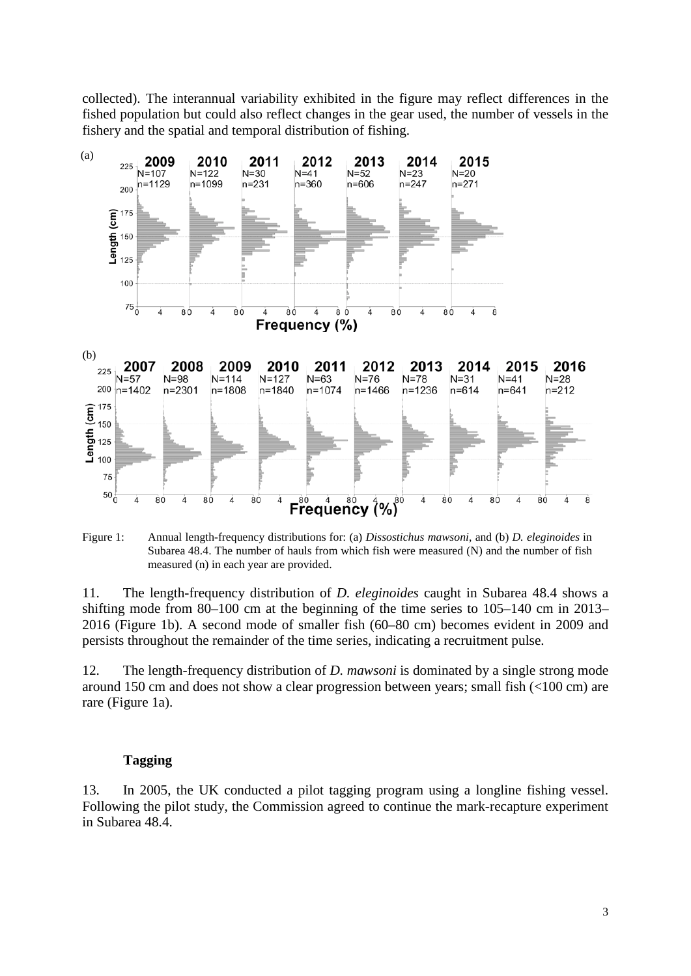collected). The interannual variability exhibited in the figure may reflect differences in the fished population but could also reflect changes in the gear used, the number of vessels in the fishery and the spatial and temporal distribution of fishing.



Figure 1: Annual length-frequency distributions for: (a) *Dissostichus mawsoni*, and (b) *D. eleginoides* in Subarea 48.4. The number of hauls from which fish were measured (N) and the number of fish measured (n) in each year are provided.

11. The length-frequency distribution of *D. eleginoides* caught in Subarea 48.4 shows a shifting mode from 80–100 cm at the beginning of the time series to 105–140 cm in 2013– 2016 (Figure 1b). A second mode of smaller fish (60–80 cm) becomes evident in 2009 and persists throughout the remainder of the time series, indicating a recruitment pulse.

12. The length-frequency distribution of *D. mawsoni* is dominated by a single strong mode around 150 cm and does not show a clear progression between years; small fish (<100 cm) are rare (Figure 1a).

### **Tagging**

13. In 2005, the UK conducted a pilot tagging program using a longline fishing vessel. Following the pilot study, the Commission agreed to continue the mark-recapture experiment in Subarea 48.4.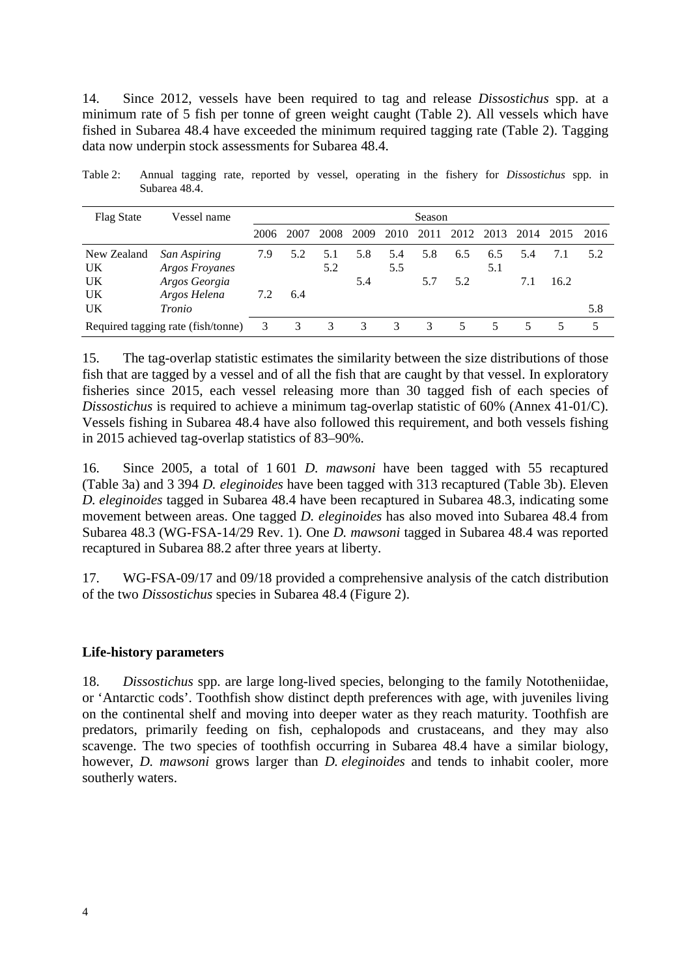14. Since 2012, vessels have been required to tag and release *Dissostichus* spp. at a minimum rate of 5 fish per tonne of green weight caught (Table 2). All vessels which have fished in Subarea 48.4 have exceeded the minimum required tagging rate (Table 2). Tagging data now underpin stock assessments for Subarea 48.4.

Table 2: Annual tagging rate, reported by vessel, operating in the fishery for *Dissostichus* spp. in Subarea 48.4.

| <b>Flag State</b>                  | Vessel name                                            | Season |      |            |            |            |               |            |            |            |             |      |
|------------------------------------|--------------------------------------------------------|--------|------|------------|------------|------------|---------------|------------|------------|------------|-------------|------|
|                                    |                                                        | 2006   | 2007 | 2008       | 2009       | 2010       | 2011          |            | 2012 2013  | 2014       | 2015        | 2016 |
| New Zealand<br>UK<br>UK            | <b>San Aspiring</b><br>Argos Froyanes<br>Argos Georgia | 7.9    | 5.2  | 5.1<br>5.2 | 5.8<br>5.4 | 5.4<br>5.5 | 5.8<br>5.7    | 6.5<br>5.2 | 6.5<br>5.1 | 5.4<br>7.1 | 7.1<br>16.2 | 5.2  |
| UK<br>UK                           | Argos Helena<br>Tronio                                 | 7.2    | 6.4  |            |            |            |               |            |            |            |             | 5.8  |
| Required tagging rate (fish/tonne) |                                                        | 3      | 3    | 3          | 3          | 3          | $\mathcal{F}$ | 5.         | 5.         |            |             |      |

15. The tag-overlap statistic estimates the similarity between the size distributions of those fish that are tagged by a vessel and of all the fish that are caught by that vessel. In exploratory fisheries since 2015, each vessel releasing more than 30 tagged fish of each species of *Dissostichus* is required to achieve a minimum tag-overlap statistic of 60% (Annex 41-01/C). Vessels fishing in Subarea 48.4 have also followed this requirement, and both vessels fishing in 2015 achieved tag-overlap statistics of 83–90%.

16. Since 2005, a total of 1 601 *D. mawsoni* have been tagged with 55 recaptured (Table 3a) and 3 394 *D. eleginoides* have been tagged with 313 recaptured (Table 3b). Eleven *D. eleginoides* tagged in Subarea 48.4 have been recaptured in Subarea 48.3, indicating some movement between areas. One tagged *D. eleginoides* has also moved into Subarea 48.4 from Subarea 48.3 (WG-FSA-14/29 Rev. 1). One *D. mawsoni* tagged in Subarea 48.4 was reported recaptured in Subarea 88.2 after three years at liberty.

17. WG-FSA-09/17 and 09/18 provided a comprehensive analysis of the catch distribution of the two *Dissostichus* species in Subarea 48.4 (Figure 2).

# **Life-history parameters**

18. *Dissostichus* spp. are large long-lived species, belonging to the family Nototheniidae, or 'Antarctic cods'. Toothfish show distinct depth preferences with age, with juveniles living on the continental shelf and moving into deeper water as they reach maturity. Toothfish are predators, primarily feeding on fish, cephalopods and crustaceans, and they may also scavenge. The two species of toothfish occurring in Subarea 48.4 have a similar biology, however, *D. mawsoni* grows larger than *D. eleginoides* and tends to inhabit cooler, more southerly waters.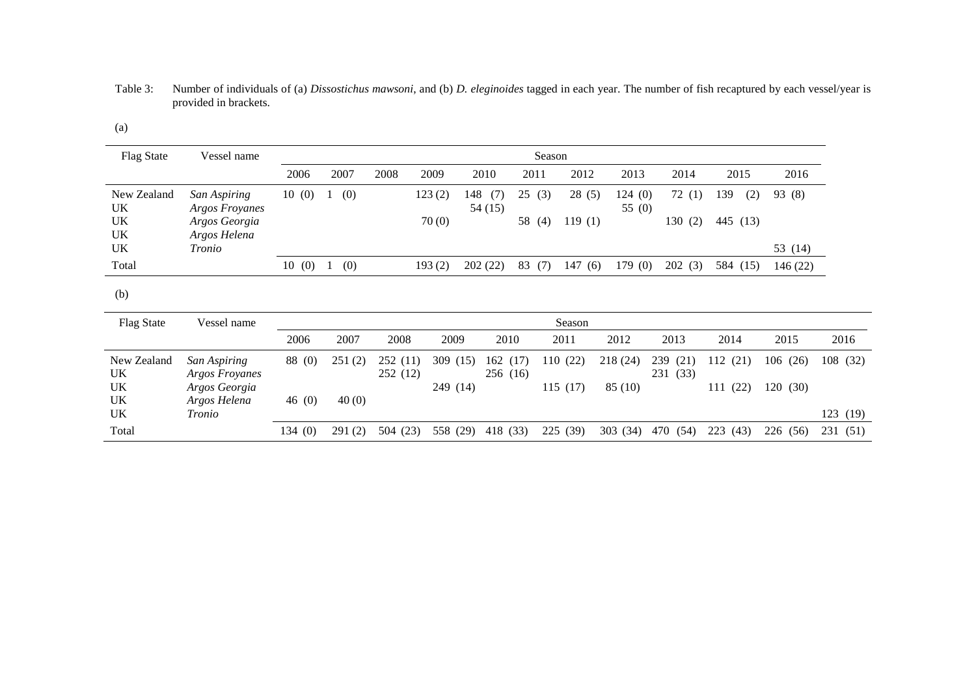Table 3: Number of individuals of (a) *Dissostichus mawsoni*, and (b) *D. eleginoides* tagged in each year. The number of fish recaptured by each vessel/year is provided in brackets.

| ٠<br>× |  |
|--------|--|
|--------|--|

| <b>Flag State</b>             | Vessel name                                                     |       | Season |      |      |                 |                       |                        |                 |                  |                 |                 |     |          |
|-------------------------------|-----------------------------------------------------------------|-------|--------|------|------|-----------------|-----------------------|------------------------|-----------------|------------------|-----------------|-----------------|-----|----------|
|                               |                                                                 | 2006  |        | 2007 | 2008 | 2009            | 2010                  | 2011                   | 2012            | 2013             | 2014            | 2015            |     | 2016     |
| New Zealand<br>UK<br>UK<br>UK | San Aspiring<br>Argos Froyanes<br>Argos Georgia<br>Argos Helena | 10(0) |        | (0)  |      | 123(2)<br>70(0) | 148<br>(7)<br>54 (15) | 25<br>(3)<br>58<br>(4) | 28(5)<br>119(1) | 124(0)<br>55 (0) | 72(1)<br>130(2) | 139<br>445 (13) | (2) | 93 (8)   |
| UK                            | Tronio                                                          |       |        |      |      |                 |                       |                        |                 |                  |                 |                 |     | 53 (14)  |
| Total                         |                                                                 | 10(0) |        | (0)  |      | 193(2)          | 202(22)               | 83<br>(7)              | 147(6)          | 179(0)           | 202(3)          | 584 (15)        |     | 146 (22) |

(b)

| <b>Flag State</b>       | Vessel name                                            |                     | Season          |                      |                         |                         |                     |                     |                            |                            |                     |                         |
|-------------------------|--------------------------------------------------------|---------------------|-----------------|----------------------|-------------------------|-------------------------|---------------------|---------------------|----------------------------|----------------------------|---------------------|-------------------------|
|                         |                                                        | 2006                | 2007            | 2008                 | 2009                    | 2010                    | 2011                | 2012                | 2013                       | 2014                       | 2015                | 2016                    |
| New Zealand<br>UK<br>UK | San Aspiring<br><b>Argos Froyanes</b><br>Argos Georgia | 88 (0)              | 251(2)          | 252 (11)<br>252 (12) | 309<br>(15)<br>249 (14) | (17)<br>162<br>256 (16) | 110 (22)<br>115(17) | 218 (24)<br>85 (10) | 239<br>(21)<br>(33)<br>231 | 112<br>(21)<br>(22)<br>111 | 106(26)<br>120 (30) | 108 (32)                |
| UK<br>UK<br>Total       | Argos Helena<br>Tronio                                 | 46 $(0)$<br>134 (0) | 40(0)<br>291(2) | (23)<br>504          | 558 (29)                | 418 (33)                | 225 (39)            | 303 (34)            | (54)<br>470                | 223<br>(43)                | 226<br>(56)         | 123 (19)<br>231<br>(51) |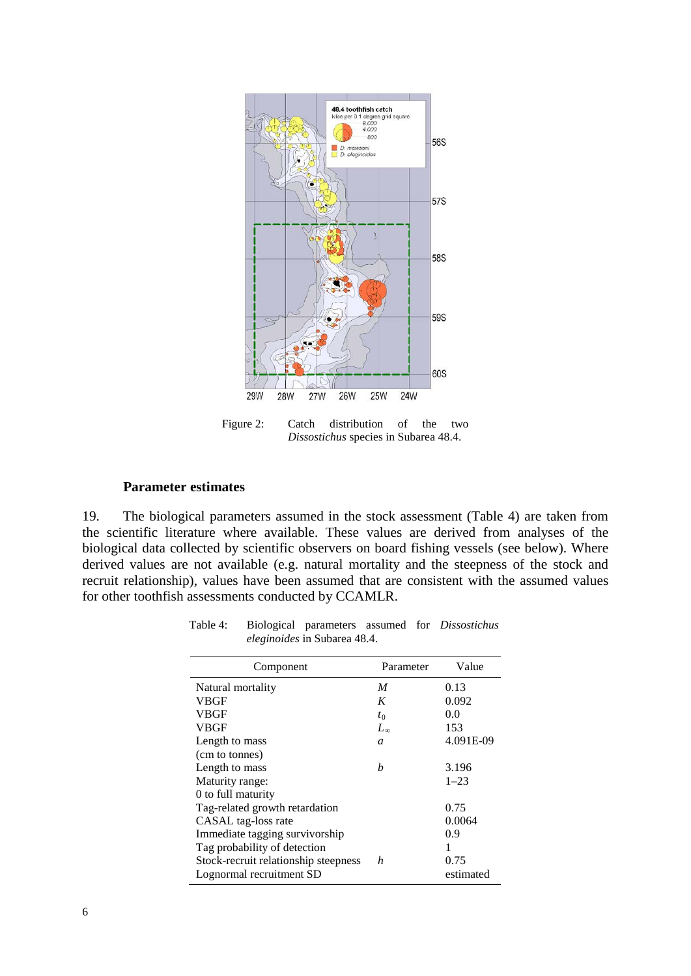

Figure 2: Catch distribution of the two *Dissostichus* species in Subarea 48.4.

#### **Parameter estimates**

19. The biological parameters assumed in the stock assessment (Table 4) are taken from the scientific literature where available. These values are derived from analyses of the biological data collected by scientific observers on board fishing vessels (see below). Where derived values are not available (e.g. natural mortality and the steepness of the stock and recruit relationship), values have been assumed that are consistent with the assumed values for other toothfish assessments conducted by CCAMLR.

| Component                            | Parameter    | Value     |
|--------------------------------------|--------------|-----------|
| Natural mortality                    | M            | 0.13      |
| VBGF                                 | K            | 0.092     |
| <b>VBGF</b>                          | $t_0$        | 0.0       |
| VBGF                                 | $L_{\infty}$ | 153       |
| Length to mass                       | a            | 4.091E-09 |
| (cm to tonnes)                       |              |           |
| Length to mass                       | h            | 3.196     |
| Maturity range:                      |              | $1 - 23$  |
| 0 to full maturity                   |              |           |
| Tag-related growth retardation       |              | 0.75      |
| CASAL tag-loss rate                  |              | 0.0064    |
| Immediate tagging survivorship       |              | 0.9       |
| Tag probability of detection         |              |           |
| Stock-recruit relationship steepness | h            | 0.75      |
| Lognormal recruitment SD             |              | estimated |

Table 4: Biological parameters assumed for *Dissostichus eleginoides* in Subarea 48.4.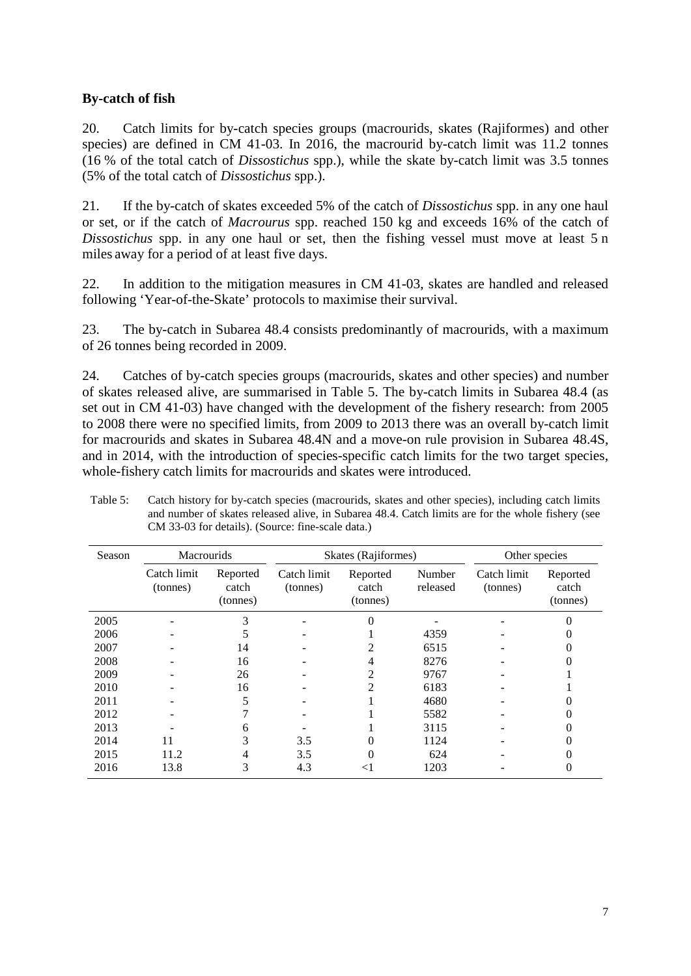# **By-catch of fish**

20. Catch limits for by-catch species groups (macrourids, skates (Rajiformes) and other species) are defined in CM 41-03. In 2016, the macrourid by-catch limit was 11.2 tonnes (16 % of the total catch of *Dissostichus* spp.), while the skate by-catch limit was 3.5 tonnes (5% of the total catch of *Dissostichus* spp.).

21. If the by-catch of skates exceeded 5% of the catch of *Dissostichus* spp. in any one haul or set, or if the catch of *Macrourus* spp. reached 150 kg and exceeds 16% of the catch of *Dissostichus* spp. in any one haul or set, then the fishing vessel must move at least 5 n miles away for a period of at least five days.

22. In addition to the mitigation measures in CM 41-03, skates are handled and released following 'Year-of-the-Skate' protocols to maximise their survival.

23. The by-catch in Subarea 48.4 consists predominantly of macrourids, with a maximum of 26 tonnes being recorded in 2009.

24. Catches of by-catch species groups (macrourids, skates and other species) and number of skates released alive, are summarised in Table 5. The by-catch limits in Subarea 48.4 (as set out in CM 41-03) have changed with the development of the fishery research: from 2005 to 2008 there were no specified limits, from 2009 to 2013 there was an overall by-catch limit for macrourids and skates in Subarea 48.4N and a move-on rule provision in Subarea 48.4S, and in 2014, with the introduction of species-specific catch limits for the two target species, whole-fishery catch limits for macrourids and skates were introduced.

| Season | <b>Macrourids</b>       |                               |                         | Skates (Rajiformes)           |                    | Other species           |                               |  |
|--------|-------------------------|-------------------------------|-------------------------|-------------------------------|--------------------|-------------------------|-------------------------------|--|
|        | Catch limit<br>(tonnes) | Reported<br>catch<br>(tonnes) | Catch limit<br>(tonnes) | Reported<br>catch<br>(tonnes) | Number<br>released | Catch limit<br>(tonnes) | Reported<br>catch<br>(tonnes) |  |
| 2005   |                         | 3                             |                         |                               |                    |                         |                               |  |
| 2006   |                         |                               |                         |                               | 4359               |                         |                               |  |
| 2007   |                         | 14                            |                         |                               | 6515               |                         |                               |  |
| 2008   |                         | 16                            |                         | 4                             | 8276               |                         |                               |  |
| 2009   |                         | 26                            |                         | 2                             | 9767               |                         |                               |  |
| 2010   |                         | 16                            |                         | 2                             | 6183               |                         |                               |  |
| 2011   |                         |                               |                         |                               | 4680               |                         |                               |  |
| 2012   |                         |                               |                         |                               | 5582               |                         |                               |  |
| 2013   |                         | 6                             |                         |                               | 3115               |                         |                               |  |
| 2014   | 11                      | 3                             | 3.5                     |                               | 1124               |                         |                               |  |
| 2015   | 11.2                    | 4                             | 3.5                     |                               | 624                |                         |                               |  |
| 2016   | 13.8                    | 3                             | 4.3                     | $<$ 1                         | 1203               |                         | 0                             |  |

Table 5: Catch history for by-catch species (macrourids, skates and other species), including catch limits and number of skates released alive, in Subarea 48.4. Catch limits are for the whole fishery (see CM 33-03 for details). (Source: fine-scale data.)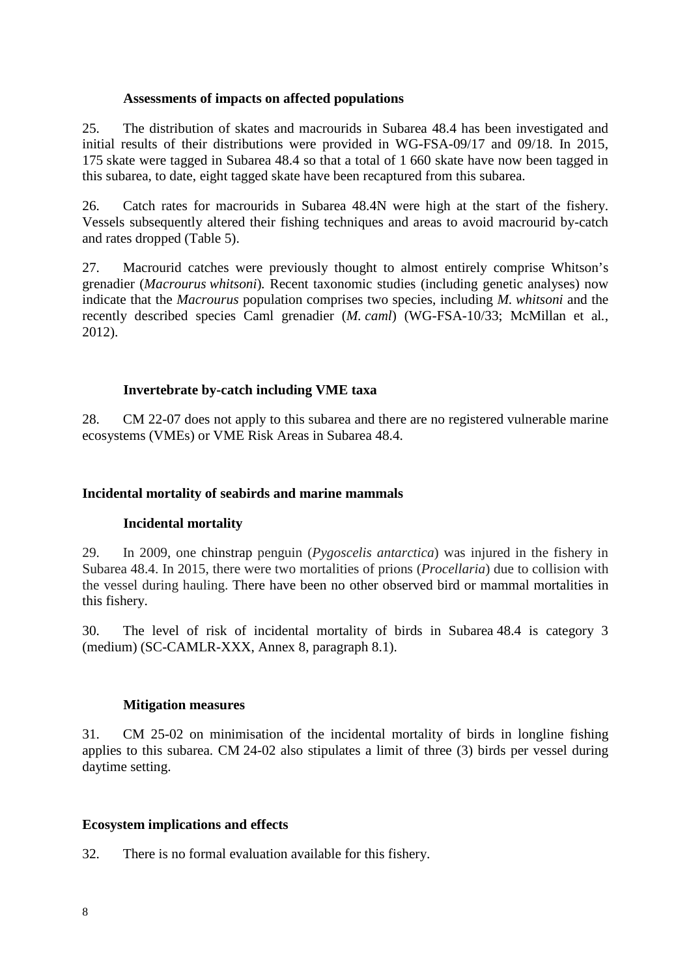### **Assessments of impacts on affected populations**

25. The distribution of skates and macrourids in Subarea 48.4 has been investigated and initial results of their distributions were provided in WG-FSA-09/17 and 09/18. In 2015, 175 skate were tagged in Subarea 48.4 so that a total of 1 660 skate have now been tagged in this subarea, to date, eight tagged skate have been recaptured from this subarea.

26. Catch rates for macrourids in Subarea 48.4N were high at the start of the fishery. Vessels subsequently altered their fishing techniques and areas to avoid macrourid by-catch and rates dropped (Table 5).

27. Macrourid catches were previously thought to almost entirely comprise Whitson's grenadier (*Macrourus whitsoni*)*.* Recent taxonomic studies (including genetic analyses) now indicate that the *Macrourus* population comprises two species, including *M. whitsoni* and the recently described species Caml grenadier (*M. caml*) (WG-FSA-10/33; McMillan et al*.*, 2012).

# **Invertebrate by-catch including VME taxa**

28. CM 22-07 does not apply to this subarea and there are no registered vulnerable marine ecosystems (VMEs) or VME Risk Areas in Subarea 48.4.

### **Incidental mortality of seabirds and marine mammals**

### **Incidental mortality**

29. In 2009, one chinstrap penguin (*Pygoscelis antarctica*) was injured in the fishery in Subarea 48.4. In 2015, there were two mortalities of prions (*Procellaria*) due to collision with the vessel during hauling. There have been no other observed bird or mammal mortalities in this fishery.

30. The level of risk of incidental mortality of birds in Subarea 48.4 is category 3 (medium) (SC-CAMLR-XXX, Annex 8, paragraph 8.1).

### **Mitigation measures**

31. CM 25-02 on minimisation of the incidental mortality of birds in longline fishing applies to this subarea. CM 24-02 also stipulates a limit of three (3) birds per vessel during daytime setting.

### **Ecosystem implications and effects**

32. There is no formal evaluation available for this fishery.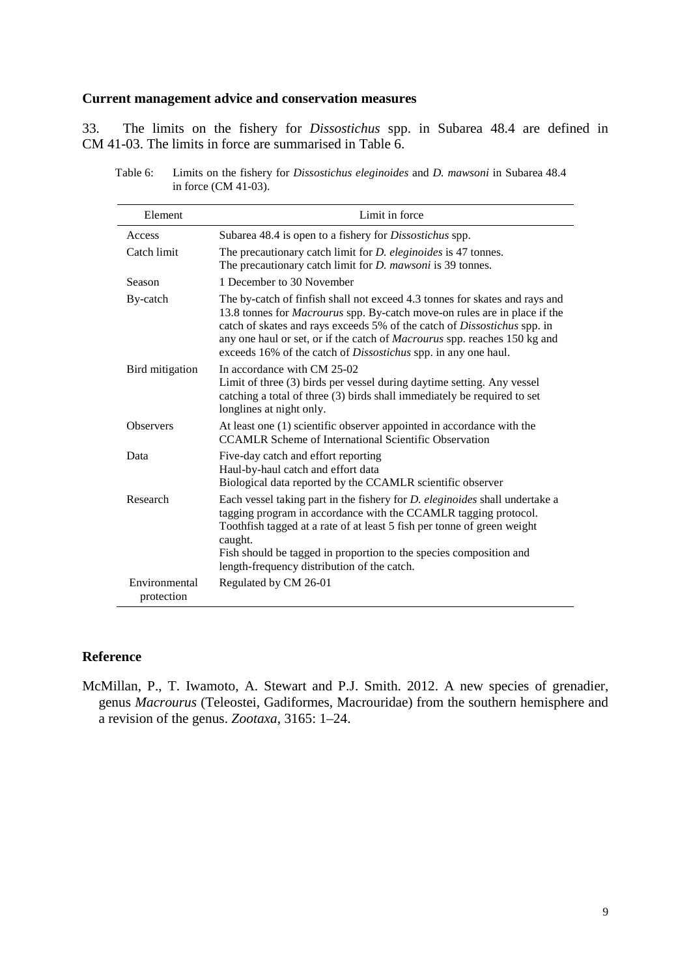#### **Current management advice and conservation measures**

33. The limits on the fishery for *Dissostichus* spp. in Subarea 48.4 are defined in CM 41-03. The limits in force are summarised in Table 6.

| Table 6: | Limits on the fishery for <i>Dissostichus eleginoides</i> and <i>D. mawsoni</i> in Subarea 48.4 |
|----------|-------------------------------------------------------------------------------------------------|
|          | in force $(CM 41-03)$ .                                                                         |

| Element                     | Limit in force                                                                                                                                                                                                                                                                                                                                                                                                  |
|-----------------------------|-----------------------------------------------------------------------------------------------------------------------------------------------------------------------------------------------------------------------------------------------------------------------------------------------------------------------------------------------------------------------------------------------------------------|
| Access                      | Subarea 48.4 is open to a fishery for <i>Dissostichus</i> spp.                                                                                                                                                                                                                                                                                                                                                  |
| Catch limit                 | The precautionary catch limit for <i>D. eleginoides</i> is 47 tonnes.<br>The precautionary catch limit for <i>D. mawsoni</i> is 39 tonnes.                                                                                                                                                                                                                                                                      |
| Season                      | 1 December to 30 November                                                                                                                                                                                                                                                                                                                                                                                       |
| By-catch                    | The by-catch of finfish shall not exceed 4.3 tonnes for skates and rays and<br>13.8 tonnes for <i>Macrourus</i> spp. By-catch move-on rules are in place if the<br>catch of skates and rays exceeds 5% of the catch of <i>Dissostichus</i> spp. in<br>any one haul or set, or if the catch of <i>Macrourus</i> spp. reaches 150 kg and<br>exceeds 16% of the catch of <i>Dissostichus</i> spp. in any one haul. |
| Bird mitigation             | In accordance with CM 25-02<br>Limit of three (3) birds per vessel during daytime setting. Any vessel<br>catching a total of three (3) birds shall immediately be required to set<br>longlines at night only.                                                                                                                                                                                                   |
| <b>Observers</b>            | At least one (1) scientific observer appointed in accordance with the<br><b>CCAMLR Scheme of International Scientific Observation</b>                                                                                                                                                                                                                                                                           |
| Data                        | Five-day catch and effort reporting<br>Haul-by-haul catch and effort data<br>Biological data reported by the CCAMLR scientific observer                                                                                                                                                                                                                                                                         |
| Research                    | Each vessel taking part in the fishery for <i>D. eleginoides</i> shall undertake a<br>tagging program in accordance with the CCAMLR tagging protocol.<br>Toothfish tagged at a rate of at least 5 fish per tonne of green weight<br>caught.<br>Fish should be tagged in proportion to the species composition and<br>length-frequency distribution of the catch.                                                |
| Environmental<br>protection | Regulated by CM 26-01                                                                                                                                                                                                                                                                                                                                                                                           |

# **Reference**

McMillan, P., T. Iwamoto, A. Stewart and P.J. Smith. 2012. A new species of grenadier, genus *Macrourus* (Teleostei, Gadiformes, Macrouridae) from the southern hemisphere and a revision of the genus. *Zootaxa*, 3165: 1–24.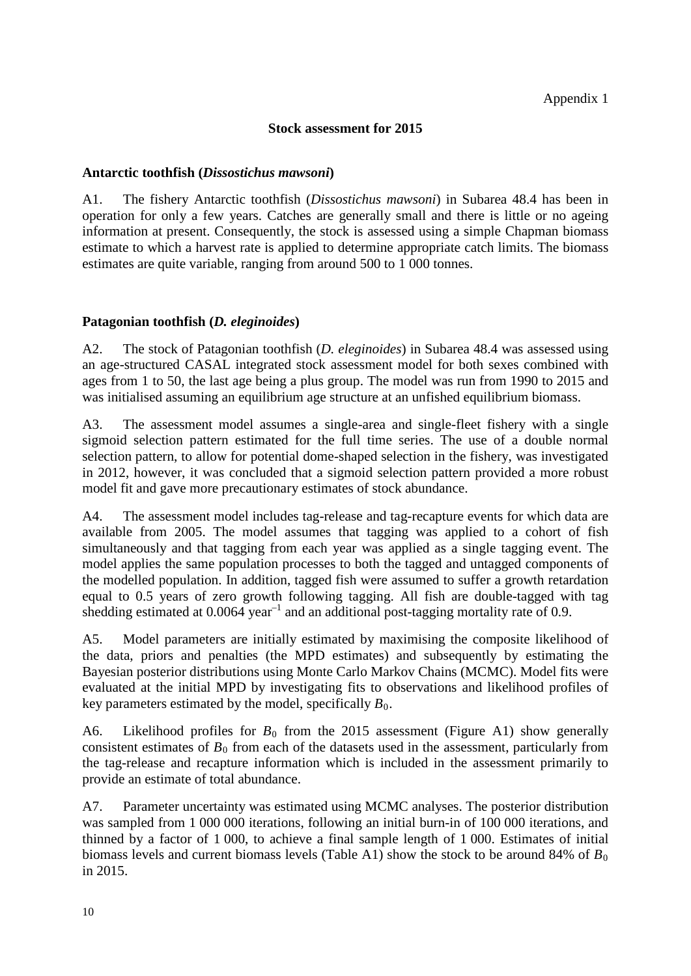# **Stock assessment for 2015**

## **Antarctic toothfish (***Dissostichus mawsoni***)**

A1. The fishery Antarctic toothfish (*Dissostichus mawsoni*) in Subarea 48.4 has been in operation for only a few years. Catches are generally small and there is little or no ageing information at present. Consequently, the stock is assessed using a simple Chapman biomass estimate to which a harvest rate is applied to determine appropriate catch limits. The biomass estimates are quite variable, ranging from around 500 to 1 000 tonnes.

# **Patagonian toothfish (***D. eleginoides***)**

A2. The stock of Patagonian toothfish (*D. eleginoides*) in Subarea 48.4 was assessed using an age-structured CASAL integrated stock assessment model for both sexes combined with ages from 1 to 50, the last age being a plus group. The model was run from 1990 to 2015 and was initialised assuming an equilibrium age structure at an unfished equilibrium biomass.

A3. The assessment model assumes a single-area and single-fleet fishery with a single sigmoid selection pattern estimated for the full time series. The use of a double normal selection pattern, to allow for potential dome-shaped selection in the fishery, was investigated in 2012, however, it was concluded that a sigmoid selection pattern provided a more robust model fit and gave more precautionary estimates of stock abundance.

A4. The assessment model includes tag-release and tag-recapture events for which data are available from 2005. The model assumes that tagging was applied to a cohort of fish simultaneously and that tagging from each year was applied as a single tagging event. The model applies the same population processes to both the tagged and untagged components of the modelled population. In addition, tagged fish were assumed to suffer a growth retardation equal to 0.5 years of zero growth following tagging. All fish are double-tagged with tag shedding estimated at  $0.0064$  year<sup>-1</sup> and an additional post-tagging mortality rate of 0.9.

A5. Model parameters are initially estimated by maximising the composite likelihood of the data, priors and penalties (the MPD estimates) and subsequently by estimating the Bayesian posterior distributions using Monte Carlo Markov Chains (MCMC). Model fits were evaluated at the initial MPD by investigating fits to observations and likelihood profiles of key parameters estimated by the model, specifically  $B_0$ .

A6. Likelihood profiles for  $B_0$  from the 2015 assessment (Figure A1) show generally consistent estimates of  $B_0$  from each of the datasets used in the assessment, particularly from the tag-release and recapture information which is included in the assessment primarily to provide an estimate of total abundance.

A7. Parameter uncertainty was estimated using MCMC analyses. The posterior distribution was sampled from 1 000 000 iterations, following an initial burn-in of 100 000 iterations, and thinned by a factor of 1 000, to achieve a final sample length of 1 000. Estimates of initial biomass levels and current biomass levels (Table A1) show the stock to be around 84% of  $B_0$ in 2015.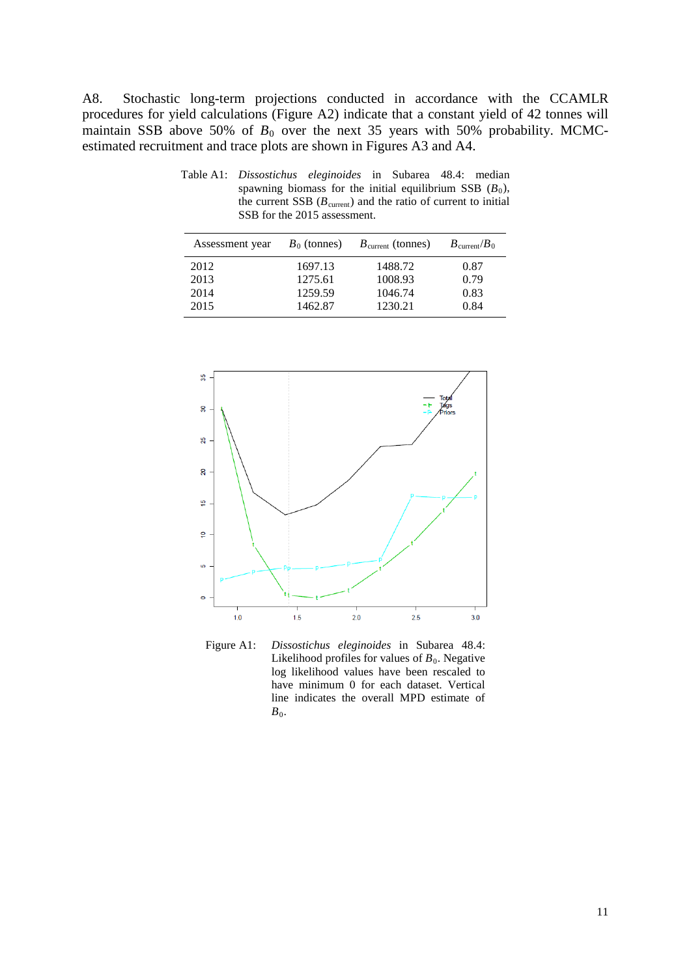A8. Stochastic long-term projections conducted in accordance with the CCAMLR procedures for yield calculations (Figure A2) indicate that a constant yield of 42 tonnes will maintain SSB above 50% of  $B_0$  over the next 35 years with 50% probability. MCMCestimated recruitment and trace plots are shown in Figures A3 and A4.

Table A1: *Dissostichus eleginoides* in Subarea 48.4: median spawning biomass for the initial equilibrium SSB  $(B_0)$ , the current SSB  $(B_{\text{current}})$  and the ratio of current to initial SSB for the 2015 assessment.

| Assessment year | $B_0$ (tonnes) | $B_{\text{current}}$ (tonnes) | $B_{\text{current}}/B_0$ |
|-----------------|----------------|-------------------------------|--------------------------|
| 2012            | 1697.13        | 1488.72                       | 0.87                     |
| 2013            | 1275.61        | 1008.93                       | 0.79                     |
| 2014            | 1259.59        | 1046.74                       | 0.83                     |
| 2015            | 1462.87        | 1230.21                       | 0.84                     |



Figure A1: *Dissostichus eleginoides* in Subarea 48.4: Likelihood profiles for values of  $B_0$ . Negative log likelihood values have been rescaled to have minimum 0 for each dataset. Vertical line indicates the overall MPD estimate of  $B_0$ .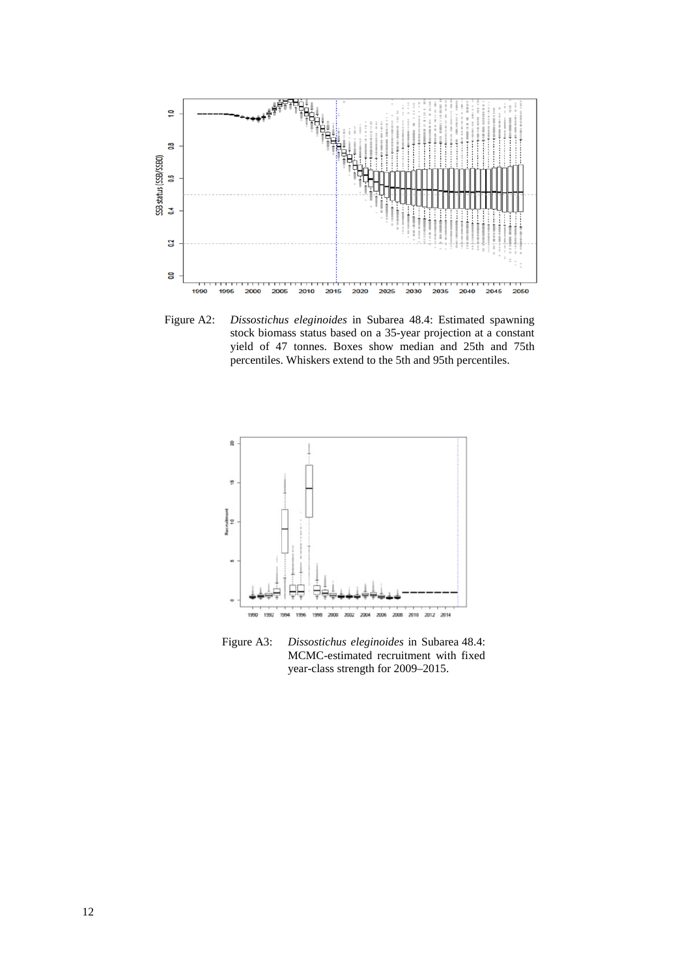

Figure A2: *Dissostichus eleginoides* in Subarea 48.4: Estimated spawning stock biomass status based on a 35-year projection at a constant yield of 47 tonnes. Boxes show median and 25th and 75th percentiles. Whiskers extend to the 5th and 95th percentiles.



Figure A3: *Dissostichus eleginoides* in Subarea 48.4: MCMC-estimated recruitment with fixed year-class strength for 2009–2015.